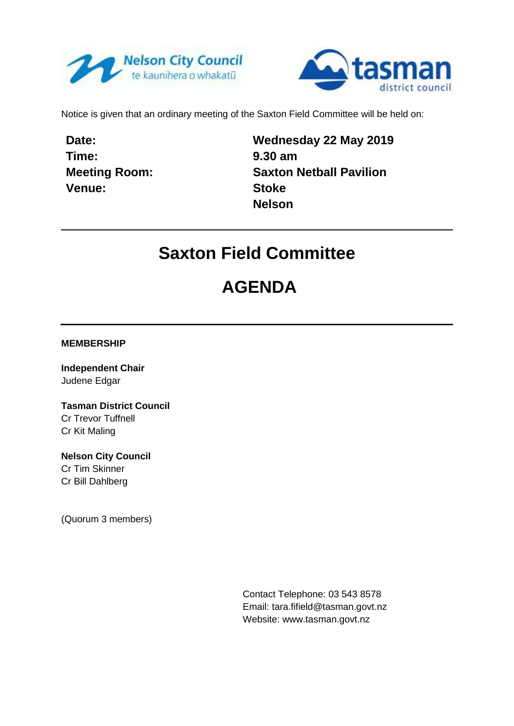



Notice is given that an ordinary meeting of the Saxton Field Committee will be held on:

**Date: Time: Meeting Room: Venue:**

**Wednesday 22 May 2019 9.30 am Saxton Netball Pavilion Stoke Nelson**

## **Saxton Field Committee**

## **AGENDA**

**MEMBERSHIP**

**Independent Chair** Judene Edgar

**Tasman District Council** Cr Trevor Tuffnell Cr Kit Maling

**Nelson City Council** Cr Tim Skinner Cr Bill Dahlberg

(Quorum 3 members)

Contact Telephone: 03 543 8578 Email: tara.fifield@tasman.govt.nz Website: www.tasman.govt.nz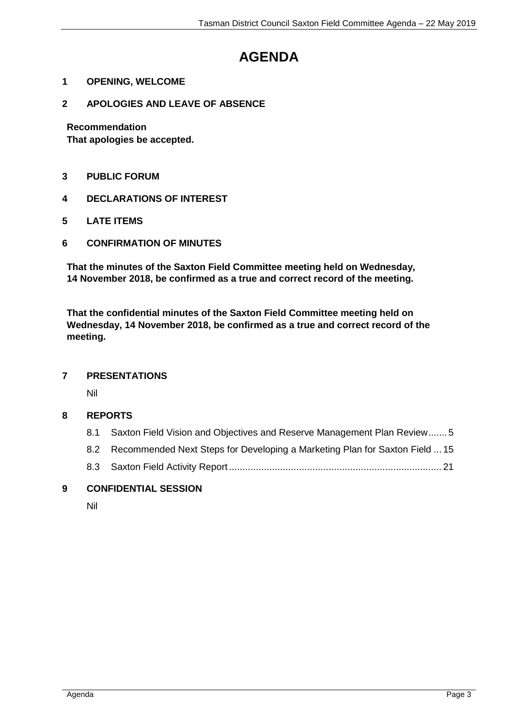## **AGENDA**

- **1 OPENING, WELCOME**
- **2 APOLOGIES AND LEAVE OF ABSENCE**

**Recommendation**

**That apologies be accepted.**

- **3 PUBLIC FORUM**
- **4 DECLARATIONS OF INTEREST**
- **5 LATE ITEMS**
- **6 CONFIRMATION OF MINUTES**

**That the minutes of the Saxton Field Committee meeting held on Wednesday, 14 November 2018, be confirmed as a true and correct record of the meeting.**

**That the confidential minutes of the Saxton Field Committee meeting held on Wednesday, 14 November 2018, be confirmed as a true and correct record of the meeting.**

#### **7 PRESENTATIONS**

Nil

#### **8 REPORTS**

| 8.1 | Saxton Field Vision and Objectives and Reserve Management Plan Review 5         |  |
|-----|---------------------------------------------------------------------------------|--|
|     | 8.2 Recommended Next Steps for Developing a Marketing Plan for Saxton Field  15 |  |
|     |                                                                                 |  |

#### **9 CONFIDENTIAL SESSION**

Nil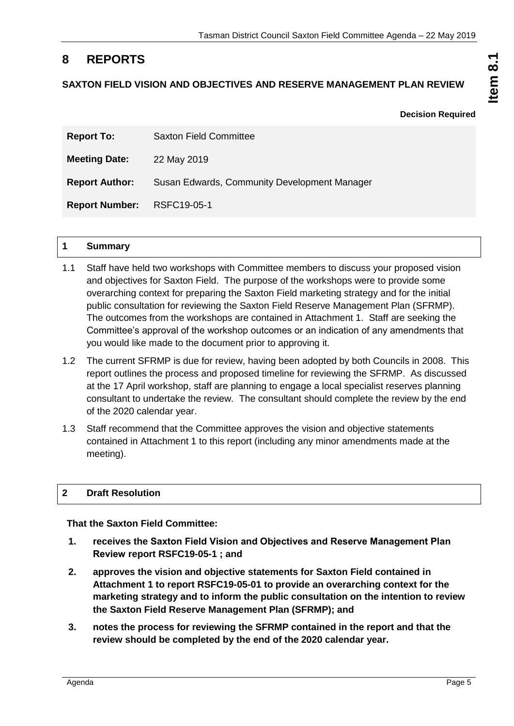### <span id="page-4-0"></span>**8 REPORTS**

#### **SAXTON FIELD VISION AND OBJECTIVES AND RESERVE MANAGEMENT PLAN REVIEW**

**Decision Required**

**Item 8.1**

| <b>Report To:</b>          | <b>Saxton Field Committee</b>                |
|----------------------------|----------------------------------------------|
| <b>Meeting Date:</b>       | 22 May 2019                                  |
| <b>Report Author:</b>      | Susan Edwards, Community Development Manager |
| Report Number: RSFC19-05-1 |                                              |

#### **1 Summary**

- 1.1 Staff have held two workshops with Committee members to discuss your proposed vision and objectives for Saxton Field. The purpose of the workshops were to provide some overarching context for preparing the Saxton Field marketing strategy and for the initial public consultation for reviewing the Saxton Field Reserve Management Plan (SFRMP). The outcomes from the workshops are contained in Attachment 1. Staff are seeking the Committee's approval of the workshop outcomes or an indication of any amendments that you would like made to the document prior to approving it.
- 1.2 The current SFRMP is due for review, having been adopted by both Councils in 2008. This report outlines the process and proposed timeline for reviewing the SFRMP. As discussed at the 17 April workshop, staff are planning to engage a local specialist reserves planning consultant to undertake the review. The consultant should complete the review by the end of the 2020 calendar year.
- 1.3 Staff recommend that the Committee approves the vision and objective statements contained in Attachment 1 to this report (including any minor amendments made at the meeting).

#### **2 Draft Resolution**

**That the Saxton Field Committee:**

- **1. receives the Saxton Field Vision and Objectives and Reserve Management Plan Review report RSFC19-05-1 ; and**
- **2. approves the vision and objective statements for Saxton Field contained in Attachment 1 to report RSFC19-05-01 to provide an overarching context for the marketing strategy and to inform the public consultation on the intention to review the Saxton Field Reserve Management Plan (SFRMP); and**
- **3. notes the process for reviewing the SFRMP contained in the report and that the review should be completed by the end of the 2020 calendar year.**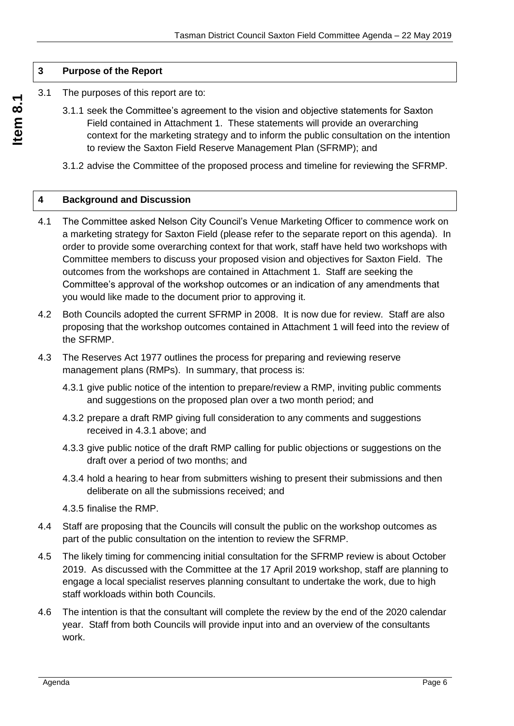#### **3 Purpose of the Report**

- 3.1 The purposes of this report are to:
	- 3.1.1 seek the Committee's agreement to the vision and objective statements for Saxton Field contained in Attachment 1. These statements will provide an overarching context for the marketing strategy and to inform the public consultation on the intention to review the Saxton Field Reserve Management Plan (SFRMP); and
	- 3.1.2 advise the Committee of the proposed process and timeline for reviewing the SFRMP.

#### **4 Background and Discussion**

- 4.1 The Committee asked Nelson City Council's Venue Marketing Officer to commence work on a marketing strategy for Saxton Field (please refer to the separate report on this agenda). In order to provide some overarching context for that work, staff have held two workshops with Committee members to discuss your proposed vision and objectives for Saxton Field. The outcomes from the workshops are contained in Attachment 1. Staff are seeking the Committee's approval of the workshop outcomes or an indication of any amendments that you would like made to the document prior to approving it.
- 4.2 Both Councils adopted the current SFRMP in 2008. It is now due for review. Staff are also proposing that the workshop outcomes contained in Attachment 1 will feed into the review of the SFRMP.
- 4.3 The Reserves Act 1977 outlines the process for preparing and reviewing reserve management plans (RMPs). In summary, that process is:
	- 4.3.1 give public notice of the intention to prepare/review a RMP, inviting public comments and suggestions on the proposed plan over a two month period; and
	- 4.3.2 prepare a draft RMP giving full consideration to any comments and suggestions received in 4.3.1 above; and
	- 4.3.3 give public notice of the draft RMP calling for public objections or suggestions on the draft over a period of two months; and
	- 4.3.4 hold a hearing to hear from submitters wishing to present their submissions and then deliberate on all the submissions received; and
	- 4.3.5 finalise the RMP.
- 4.4 Staff are proposing that the Councils will consult the public on the workshop outcomes as part of the public consultation on the intention to review the SFRMP.
- 4.5 The likely timing for commencing initial consultation for the SFRMP review is about October 2019. As discussed with the Committee at the 17 April 2019 workshop, staff are planning to engage a local specialist reserves planning consultant to undertake the work, due to high staff workloads within both Councils.
- 4.6 The intention is that the consultant will complete the review by the end of the 2020 calendar year. Staff from both Councils will provide input into and an overview of the consultants work.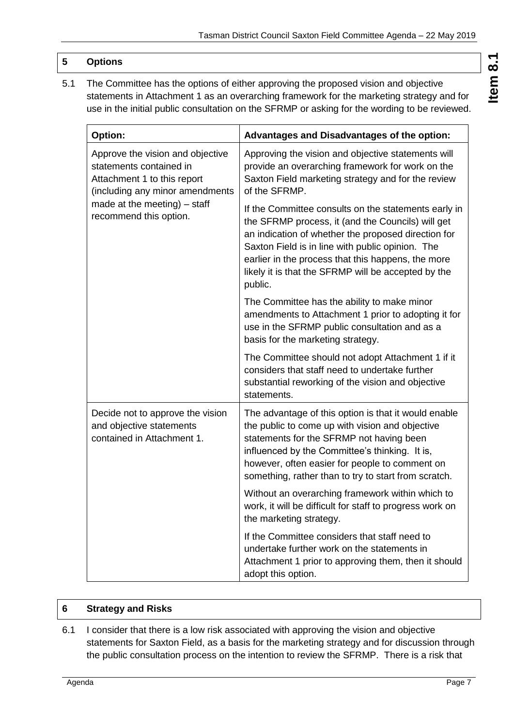#### **5 Options**

5.1 The Committee has the options of either approving the proposed vision and objective statements in Attachment 1 as an overarching framework for the marketing strategy and for use in the initial public consultation on the SFRMP or asking for the wording to be reviewed.

| <b>Option:</b>                                                                                                                | <b>Advantages and Disadvantages of the option:</b>                                                                                                                                                                                                                                                                                           |
|-------------------------------------------------------------------------------------------------------------------------------|----------------------------------------------------------------------------------------------------------------------------------------------------------------------------------------------------------------------------------------------------------------------------------------------------------------------------------------------|
| Approve the vision and objective<br>statements contained in<br>Attachment 1 to this report<br>(including any minor amendments | Approving the vision and objective statements will<br>provide an overarching framework for work on the<br>Saxton Field marketing strategy and for the review<br>of the SFRMP.                                                                                                                                                                |
| made at the meeting) - staff<br>recommend this option.                                                                        | If the Committee consults on the statements early in<br>the SFRMP process, it (and the Councils) will get<br>an indication of whether the proposed direction for<br>Saxton Field is in line with public opinion. The<br>earlier in the process that this happens, the more<br>likely it is that the SFRMP will be accepted by the<br>public. |
|                                                                                                                               | The Committee has the ability to make minor<br>amendments to Attachment 1 prior to adopting it for<br>use in the SFRMP public consultation and as a<br>basis for the marketing strategy.                                                                                                                                                     |
|                                                                                                                               | The Committee should not adopt Attachment 1 if it<br>considers that staff need to undertake further<br>substantial reworking of the vision and objective<br>statements.                                                                                                                                                                      |
| Decide not to approve the vision<br>and objective statements<br>contained in Attachment 1.                                    | The advantage of this option is that it would enable<br>the public to come up with vision and objective<br>statements for the SFRMP not having been<br>influenced by the Committee's thinking. It is,<br>however, often easier for people to comment on<br>something, rather than to try to start from scratch.                              |
|                                                                                                                               | Without an overarching framework within which to<br>work, it will be difficult for staff to progress work on<br>the marketing strategy.                                                                                                                                                                                                      |
|                                                                                                                               | If the Committee considers that staff need to<br>undertake further work on the statements in<br>Attachment 1 prior to approving them, then it should<br>adopt this option.                                                                                                                                                                   |

#### **6 Strategy and Risks**

6.1 I consider that there is a low risk associated with approving the vision and objective statements for Saxton Field, as a basis for the marketing strategy and for discussion through the public consultation process on the intention to review the SFRMP. There is a risk that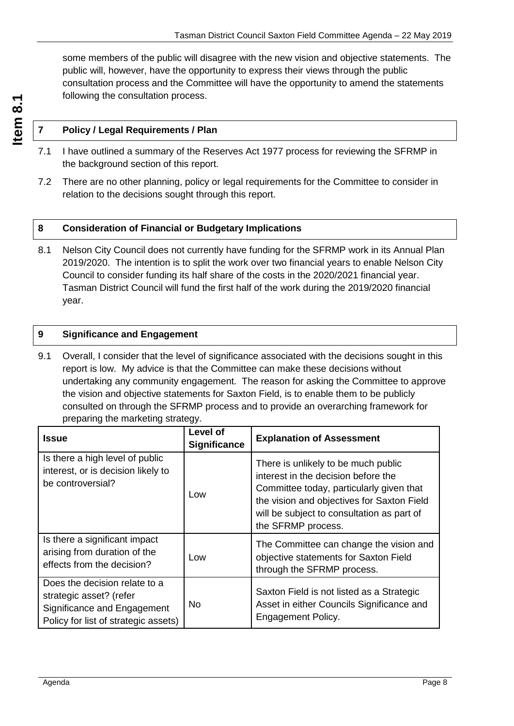some members of the public will disagree with the new vision and objective statements. The public will, however, have the opportunity to express their views through the public consultation process and the Committee will have the opportunity to amend the statements following the consultation process.

#### **7 Policy / Legal Requirements / Plan**

- 7.1 I have outlined a summary of the Reserves Act 1977 process for reviewing the SFRMP in the background section of this report.
- 7.2 There are no other planning, policy or legal requirements for the Committee to consider in relation to the decisions sought through this report.

#### **8 Consideration of Financial or Budgetary Implications**

8.1 Nelson City Council does not currently have funding for the SFRMP work in its Annual Plan 2019/2020. The intention is to split the work over two financial years to enable Nelson City Council to consider funding its half share of the costs in the 2020/2021 financial year. Tasman District Council will fund the first half of the work during the 2019/2020 financial year.

#### **9 Significance and Engagement**

9.1 Overall, I consider that the level of significance associated with the decisions sought in this report is low. My advice is that the Committee can make these decisions without undertaking any community engagement. The reason for asking the Committee to approve the vision and objective statements for Saxton Field, is to enable them to be publicly consulted on through the SFRMP process and to provide an overarching framework for preparing the marketing strategy.

| <b>Issue</b>                                                                                                                    | Level of<br><b>Significance</b> | <b>Explanation of Assessment</b>                                                                                                                                                                                                         |
|---------------------------------------------------------------------------------------------------------------------------------|---------------------------------|------------------------------------------------------------------------------------------------------------------------------------------------------------------------------------------------------------------------------------------|
| Is there a high level of public<br>interest, or is decision likely to<br>be controversial?                                      | Low                             | There is unlikely to be much public<br>interest in the decision before the<br>Committee today, particularly given that<br>the vision and objectives for Saxton Field<br>will be subject to consultation as part of<br>the SFRMP process. |
| Is there a significant impact<br>arising from duration of the<br>effects from the decision?                                     | Low                             | The Committee can change the vision and<br>objective statements for Saxton Field<br>through the SFRMP process.                                                                                                                           |
| Does the decision relate to a<br>strategic asset? (refer<br>Significance and Engagement<br>Policy for list of strategic assets) | No.                             | Saxton Field is not listed as a Strategic<br>Asset in either Councils Significance and<br><b>Engagement Policy.</b>                                                                                                                      |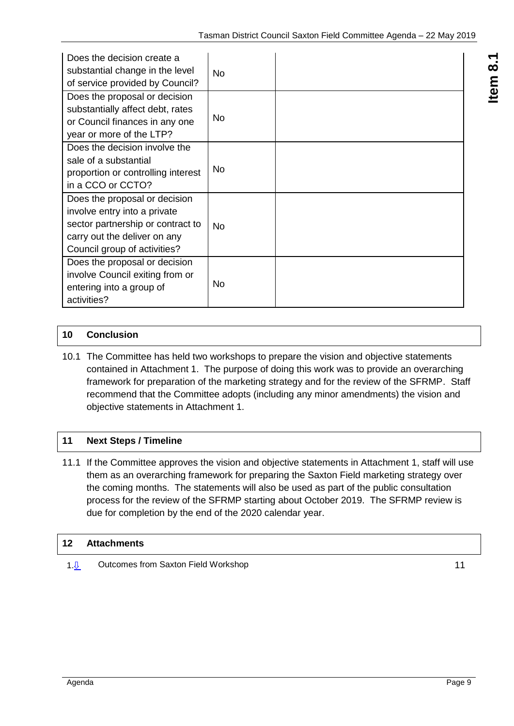| Does the decision create a<br>substantial change in the level<br>of service provided by Council?                                                                   | <b>No</b> |  |
|--------------------------------------------------------------------------------------------------------------------------------------------------------------------|-----------|--|
| Does the proposal or decision<br>substantially affect debt, rates<br>or Council finances in any one<br>year or more of the LTP?                                    | No.       |  |
| Does the decision involve the<br>sale of a substantial<br>proportion or controlling interest<br>in a CCO or CCTO?                                                  | No.       |  |
| Does the proposal or decision<br>involve entry into a private<br>sector partnership or contract to<br>carry out the deliver on any<br>Council group of activities? | No.       |  |
| Does the proposal or decision<br>involve Council exiting from or<br>entering into a group of<br>activities?                                                        | No        |  |

#### **10 Conclusion**

10.1 The Committee has held two workshops to prepare the vision and objective statements contained in Attachment 1. The purpose of doing this work was to provide an overarching framework for preparation of the marketing strategy and for the review of the SFRMP. Staff recommend that the Committee adopts (including any minor amendments) the vision and objective statements in Attachment 1.

#### **11 Next Steps / Timeline**

11.1 If the Committee approves the vision and objective statements in Attachment 1, staff will use them as an overarching framework for preparing the Saxton Field marketing strategy over the coming months. The statements will also be used as part of the public consultation process for the review of the SFRMP starting about October 2019. The SFRMP review is due for completion by the end of the 2020 calendar year.

#### **12 Attachments**

1. $\sqrt{0}$  Outcomes from Saxton Field Workshop [11](#page-10-0)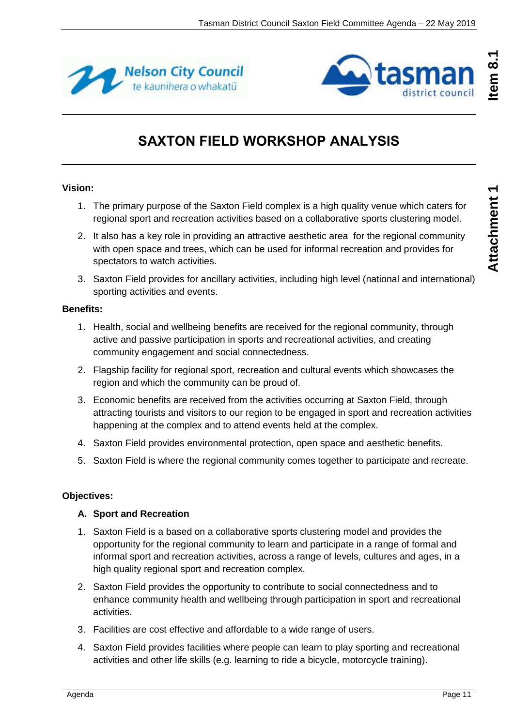<span id="page-10-0"></span>



## **SAXTON FIELD WORKSHOP ANALYSIS**

#### **Vision:**

- 1. The primary purpose of the Saxton Field complex is a high quality venue which caters for regional sport and recreation activities based on a collaborative sports clustering model.
- 2. It also has a key role in providing an attractive aesthetic area for the regional community with open space and trees, which can be used for informal recreation and provides for spectators to watch activities.
- 3. Saxton Field provides for ancillary activities, including high level (national and international) sporting activities and events.

#### **Benefits:**

- 1. Health, social and wellbeing benefits are received for the regional community, through active and passive participation in sports and recreational activities, and creating community engagement and social connectedness.
- 2. Flagship facility for regional sport, recreation and cultural events which showcases the region and which the community can be proud of.
- 3. Economic benefits are received from the activities occurring at Saxton Field, through attracting tourists and visitors to our region to be engaged in sport and recreation activities happening at the complex and to attend events held at the complex.
- 4. Saxton Field provides environmental protection, open space and aesthetic benefits.
- 5. Saxton Field is where the regional community comes together to participate and recreate.

#### **Objectives:**

#### **A. Sport and Recreation**

- 1. Saxton Field is a based on a collaborative sports clustering model and provides the opportunity for the regional community to learn and participate in a range of formal and informal sport and recreation activities, across a range of levels, cultures and ages, in a high quality regional sport and recreation complex.
- 2. Saxton Field provides the opportunity to contribute to social connectedness and to enhance community health and wellbeing through participation in sport and recreational activities.
- 3. Facilities are cost effective and affordable to a wide range of users.
- 4. Saxton Field provides facilities where people can learn to play sporting and recreational activities and other life skills (e.g. learning to ride a bicycle, motorcycle training).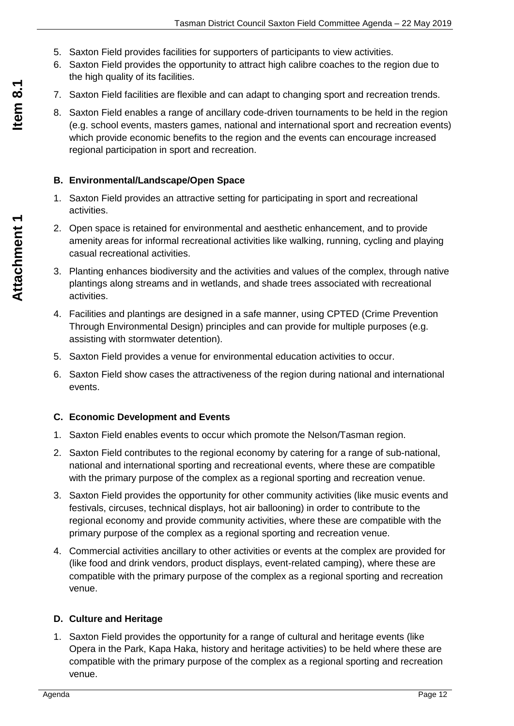- 5. Saxton Field provides facilities for supporters of participants to view activities.
- 6. Saxton Field provides the opportunity to attract high calibre coaches to the region due to the high quality of its facilities.
- 7. Saxton Field facilities are flexible and can adapt to changing sport and recreation trends.
- 8. Saxton Field enables a range of ancillary code-driven tournaments to be held in the region (e.g. school events, masters games, national and international sport and recreation events) which provide economic benefits to the region and the events can encourage increased regional participation in sport and recreation.

#### **B. Environmental/Landscape/Open Space**

- 1. Saxton Field provides an attractive setting for participating in sport and recreational activities.
- 2. Open space is retained for environmental and aesthetic enhancement, and to provide amenity areas for informal recreational activities like walking, running, cycling and playing casual recreational activities.
- 3. Planting enhances biodiversity and the activities and values of the complex, through native plantings along streams and in wetlands, and shade trees associated with recreational activities.
- 4. Facilities and plantings are designed in a safe manner, using CPTED (Crime Prevention Through Environmental Design) principles and can provide for multiple purposes (e.g. assisting with stormwater detention).
- 5. Saxton Field provides a venue for environmental education activities to occur.
- 6. Saxton Field show cases the attractiveness of the region during national and international events.

#### **C. Economic Development and Events**

- 1. Saxton Field enables events to occur which promote the Nelson/Tasman region.
- 2. Saxton Field contributes to the regional economy by catering for a range of sub-national, national and international sporting and recreational events, where these are compatible with the primary purpose of the complex as a regional sporting and recreation venue.
- 3. Saxton Field provides the opportunity for other community activities (like music events and festivals, circuses, technical displays, hot air ballooning) in order to contribute to the regional economy and provide community activities, where these are compatible with the primary purpose of the complex as a regional sporting and recreation venue.
- 4. Commercial activities ancillary to other activities or events at the complex are provided for (like food and drink vendors, product displays, event-related camping), where these are compatible with the primary purpose of the complex as a regional sporting and recreation venue.

#### **D. Culture and Heritage**

1. Saxton Field provides the opportunity for a range of cultural and heritage events (like Opera in the Park, Kapa Haka, history and heritage activities) to be held where these are compatible with the primary purpose of the complex as a regional sporting and recreation venue.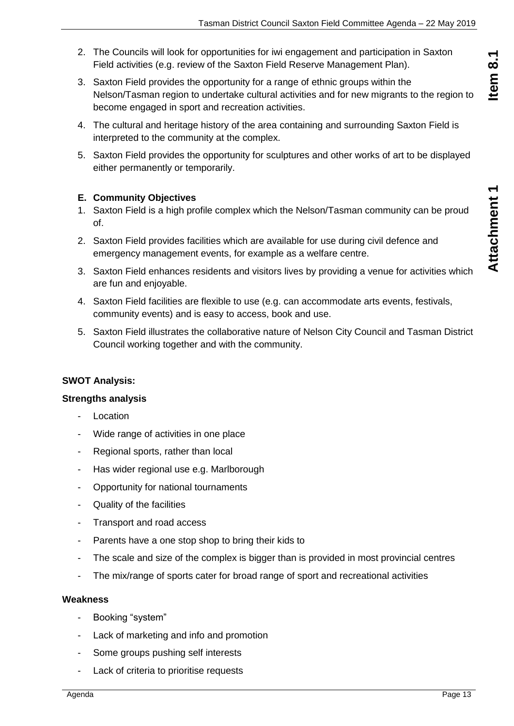Item 8.1

- 2. The Councils will look for opportunities for iwi engagement and participation in Saxton Field activities (e.g. review of the Saxton Field Reserve Management Plan).
- 3. Saxton Field provides the opportunity for a range of ethnic groups within the Nelson/Tasman region to undertake cultural activities and for new migrants to the region to become engaged in sport and recreation activities.
- 4. The cultural and heritage history of the area containing and surrounding Saxton Field is interpreted to the community at the complex.
- 5. Saxton Field provides the opportunity for sculptures and other works of art to be displayed either permanently or temporarily.

#### **E. Community Objectives**

- 1. Saxton Field is a high profile complex which the Nelson/Tasman community can be proud of.
- 2. Saxton Field provides facilities which are available for use during civil defence and emergency management events, for example as a welfare centre.
- 3. Saxton Field enhances residents and visitors lives by providing a venue for activities which are fun and enjoyable.
- 4. Saxton Field facilities are flexible to use (e.g. can accommodate arts events, festivals, community events) and is easy to access, book and use.
- 5. Saxton Field illustrates the collaborative nature of Nelson City Council and Tasman District Council working together and with the community.

#### **SWOT Analysis:**

#### **Strengths analysis**

- **Location**
- Wide range of activities in one place
- Regional sports, rather than local
- Has wider regional use e.g. Marlborough
- Opportunity for national tournaments
- Quality of the facilities
- Transport and road access
- Parents have a one stop shop to bring their kids to
- The scale and size of the complex is bigger than is provided in most provincial centres
- The mix/range of sports cater for broad range of sport and recreational activities

#### **Weakness**

- Booking "system"
- Lack of marketing and info and promotion
- Some groups pushing self interests
- Lack of criteria to prioritise requests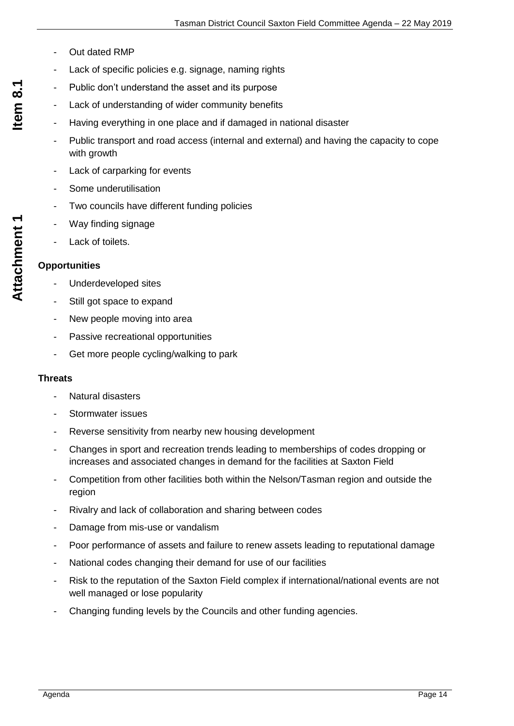- Out dated RMP
- Lack of specific policies e.g. signage, naming rights
- Public don't understand the asset and its purpose
- Lack of understanding of wider community benefits
- Having everything in one place and if damaged in national disaster
- Public transport and road access (internal and external) and having the capacity to cope with growth
- Lack of carparking for events
- Some underutilisation
- Two councils have different funding policies
- Way finding signage
- Lack of toilets.

#### **Opportunities**

- Underdeveloped sites
- Still got space to expand
- New people moving into area
- Passive recreational opportunities
- Get more people cycling/walking to park

#### **Threats**

- Natural disasters
- Stormwater issues
- Reverse sensitivity from nearby new housing development
- Changes in sport and recreation trends leading to memberships of codes dropping or increases and associated changes in demand for the facilities at Saxton Field
- Competition from other facilities both within the Nelson/Tasman region and outside the region
- Rivalry and lack of collaboration and sharing between codes
- Damage from mis-use or vandalism
- Poor performance of assets and failure to renew assets leading to reputational damage
- National codes changing their demand for use of our facilities
- Risk to the reputation of the Saxton Field complex if international/national events are not well managed or lose popularity
- Changing funding levels by the Councils and other funding agencies.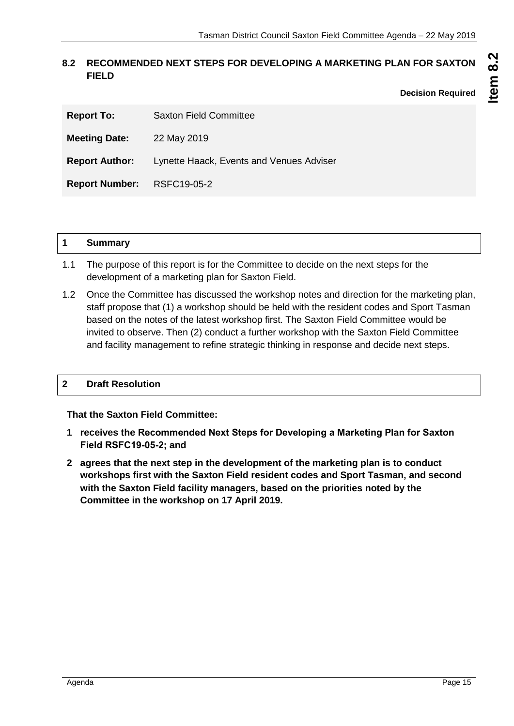#### <span id="page-14-0"></span>**8.2 RECOMMENDED NEXT STEPS FOR DEVELOPING A MARKETING PLAN FOR SAXTON FIELD**

**Decision Required**

| <b>Report To:</b>          | <b>Saxton Field Committee</b>                                  |
|----------------------------|----------------------------------------------------------------|
| <b>Meeting Date:</b>       | 22 May 2019                                                    |
|                            | <b>Report Author:</b> Lynette Haack, Events and Venues Adviser |
| Report Number: RSFC19-05-2 |                                                                |

#### **1 Summary**

- 1.1 The purpose of this report is for the Committee to decide on the next steps for the development of a marketing plan for Saxton Field.
- 1.2 Once the Committee has discussed the workshop notes and direction for the marketing plan, staff propose that (1) a workshop should be held with the resident codes and Sport Tasman based on the notes of the latest workshop first. The Saxton Field Committee would be invited to observe. Then (2) conduct a further workshop with the Saxton Field Committee and facility management to refine strategic thinking in response and decide next steps.

#### **2 Draft Resolution**

**That the Saxton Field Committee:**

- **1 receives the Recommended Next Steps for Developing a Marketing Plan for Saxton Field RSFC19-05-2; and**
- **2 agrees that the next step in the development of the marketing plan is to conduct workshops first with the Saxton Field resident codes and Sport Tasman, and second with the Saxton Field facility managers, based on the priorities noted by the Committee in the workshop on 17 April 2019.**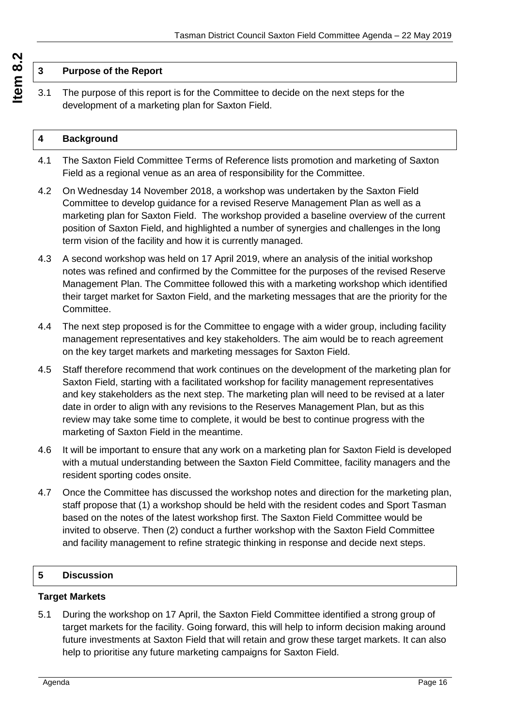#### **3 Purpose of the Report**

3.1 The purpose of this report is for the Committee to decide on the next steps for the development of a marketing plan for Saxton Field.

#### **4 Background**

- 4.1 The Saxton Field Committee Terms of Reference lists promotion and marketing of Saxton Field as a regional venue as an area of responsibility for the Committee.
- 4.2 On Wednesday 14 November 2018, a workshop was undertaken by the Saxton Field Committee to develop guidance for a revised Reserve Management Plan as well as a marketing plan for Saxton Field. The workshop provided a baseline overview of the current position of Saxton Field, and highlighted a number of synergies and challenges in the long term vision of the facility and how it is currently managed.
- 4.3 A second workshop was held on 17 April 2019, where an analysis of the initial workshop notes was refined and confirmed by the Committee for the purposes of the revised Reserve Management Plan. The Committee followed this with a marketing workshop which identified their target market for Saxton Field, and the marketing messages that are the priority for the Committee.
- 4.4 The next step proposed is for the Committee to engage with a wider group, including facility management representatives and key stakeholders. The aim would be to reach agreement on the key target markets and marketing messages for Saxton Field.
- 4.5 Staff therefore recommend that work continues on the development of the marketing plan for Saxton Field, starting with a facilitated workshop for facility management representatives and key stakeholders as the next step. The marketing plan will need to be revised at a later date in order to align with any revisions to the Reserves Management Plan, but as this review may take some time to complete, it would be best to continue progress with the marketing of Saxton Field in the meantime.
- 4.6 It will be important to ensure that any work on a marketing plan for Saxton Field is developed with a mutual understanding between the Saxton Field Committee, facility managers and the resident sporting codes onsite.
- 4.7 Once the Committee has discussed the workshop notes and direction for the marketing plan, staff propose that (1) a workshop should be held with the resident codes and Sport Tasman based on the notes of the latest workshop first. The Saxton Field Committee would be invited to observe. Then (2) conduct a further workshop with the Saxton Field Committee and facility management to refine strategic thinking in response and decide next steps.

#### **5 Discussion**

#### **Target Markets**

5.1 During the workshop on 17 April, the Saxton Field Committee identified a strong group of target markets for the facility. Going forward, this will help to inform decision making around future investments at Saxton Field that will retain and grow these target markets. It can also help to prioritise any future marketing campaigns for Saxton Field.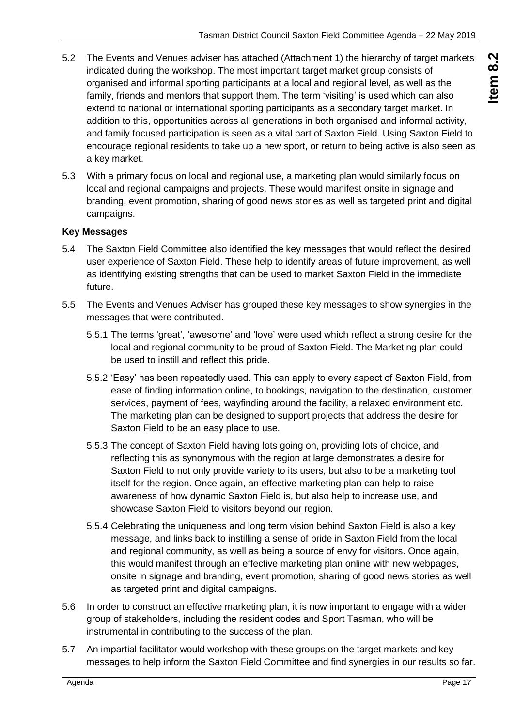- 5.2 The Events and Venues adviser has attached (Attachment 1) the hierarchy of target markets indicated during the workshop. The most important target market group consists of organised and informal sporting participants at a local and regional level, as well as the family, friends and mentors that support them. The term 'visiting' is used which can also extend to national or international sporting participants as a secondary target market. In addition to this, opportunities across all generations in both organised and informal activity, and family focused participation is seen as a vital part of Saxton Field. Using Saxton Field to encourage regional residents to take up a new sport, or return to being active is also seen as a key market.
- 5.3 With a primary focus on local and regional use, a marketing plan would similarly focus on local and regional campaigns and projects. These would manifest onsite in signage and branding, event promotion, sharing of good news stories as well as targeted print and digital campaigns.

#### **Key Messages**

- 5.4 The Saxton Field Committee also identified the key messages that would reflect the desired user experience of Saxton Field. These help to identify areas of future improvement, as well as identifying existing strengths that can be used to market Saxton Field in the immediate future.
- 5.5 The Events and Venues Adviser has grouped these key messages to show synergies in the messages that were contributed.
	- 5.5.1 The terms 'great', 'awesome' and 'love' were used which reflect a strong desire for the local and regional community to be proud of Saxton Field. The Marketing plan could be used to instill and reflect this pride.
	- 5.5.2 'Easy' has been repeatedly used. This can apply to every aspect of Saxton Field, from ease of finding information online, to bookings, navigation to the destination, customer services, payment of fees, wayfinding around the facility, a relaxed environment etc. The marketing plan can be designed to support projects that address the desire for Saxton Field to be an easy place to use.
	- 5.5.3 The concept of Saxton Field having lots going on, providing lots of choice, and reflecting this as synonymous with the region at large demonstrates a desire for Saxton Field to not only provide variety to its users, but also to be a marketing tool itself for the region. Once again, an effective marketing plan can help to raise awareness of how dynamic Saxton Field is, but also help to increase use, and showcase Saxton Field to visitors beyond our region.
	- 5.5.4 Celebrating the uniqueness and long term vision behind Saxton Field is also a key message, and links back to instilling a sense of pride in Saxton Field from the local and regional community, as well as being a source of envy for visitors. Once again, this would manifest through an effective marketing plan online with new webpages, onsite in signage and branding, event promotion, sharing of good news stories as well as targeted print and digital campaigns.
- 5.6 In order to construct an effective marketing plan, it is now important to engage with a wider group of stakeholders, including the resident codes and Sport Tasman, who will be instrumental in contributing to the success of the plan.
- 5.7 An impartial facilitator would workshop with these groups on the target markets and key messages to help inform the Saxton Field Committee and find synergies in our results so far.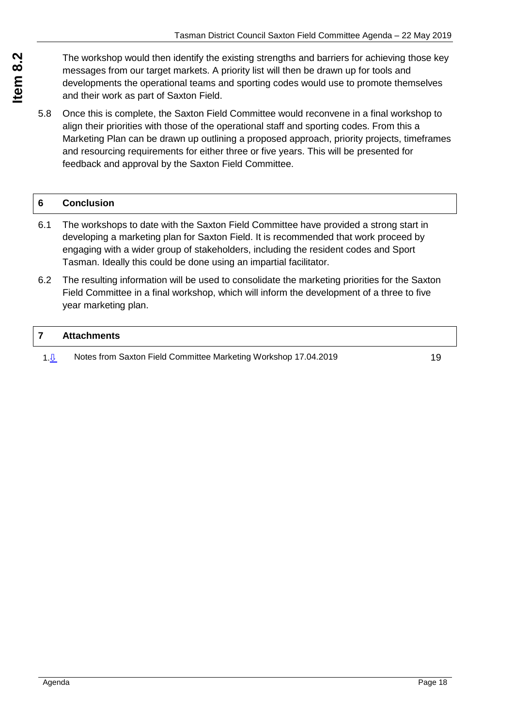The workshop would then identify the existing strengths and barriers for achieving those key messages from our target markets. A priority list will then be drawn up for tools and developments the operational teams and sporting codes would use to promote themselves and their work as part of Saxton Field.

5.8 Once this is complete, the Saxton Field Committee would reconvene in a final workshop to align their priorities with those of the operational staff and sporting codes. From this a Marketing Plan can be drawn up outlining a proposed approach, priority projects, timeframes and resourcing requirements for either three or five years. This will be presented for feedback and approval by the Saxton Field Committee.

#### **6 Conclusion**

- 6.1 The workshops to date with the Saxton Field Committee have provided a strong start in developing a marketing plan for Saxton Field. It is recommended that work proceed by engaging with a wider group of stakeholders, including the resident codes and Sport Tasman. Ideally this could be done using an impartial facilitator.
- 6.2 The resulting information will be used to consolidate the marketing priorities for the Saxton Field Committee in a final workshop, which will inform the development of a three to five year marketing plan.

#### **7 Attachments**

1. $\sqrt{0}$  Notes from Saxton Field Committee Marketing Workshop 17.04.20[19](#page-18-0)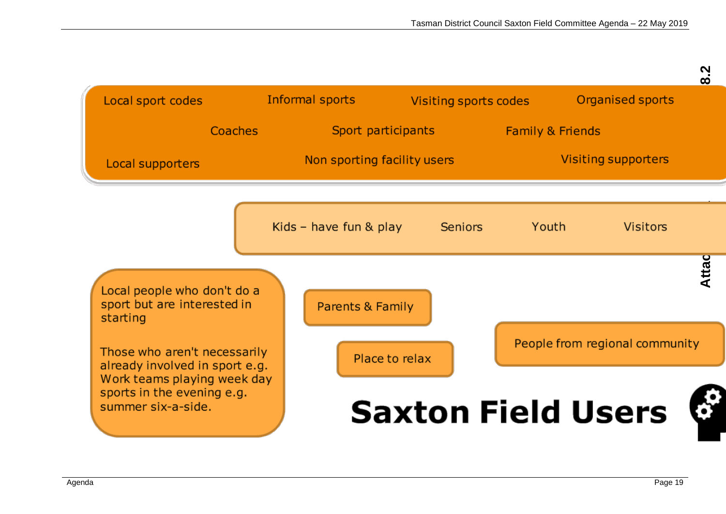<span id="page-18-0"></span>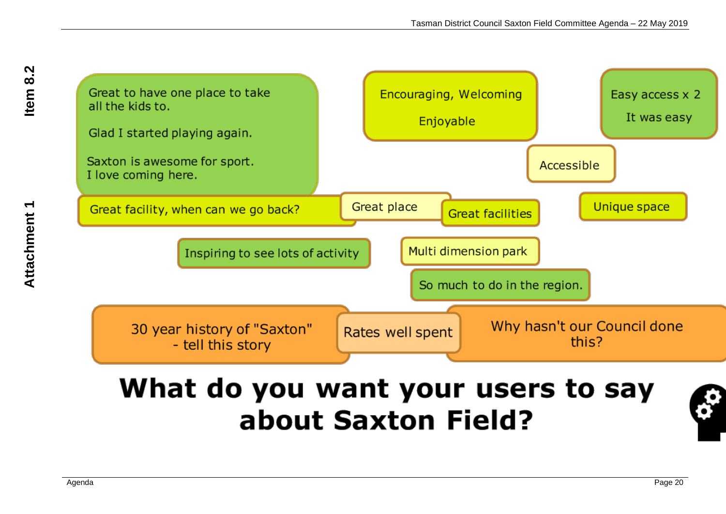

# What do you want your users to say about Saxton Field?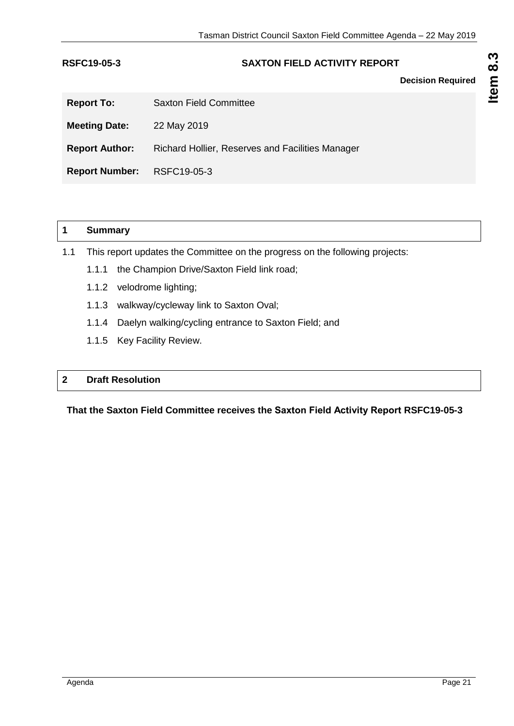#### <span id="page-20-0"></span>**RSFC19-05-3 SAXTON FIELD ACTIVITY REPORT**

**Decision Required**

| <b>Report To:</b>          | <b>Saxton Field Committee</b>                    |
|----------------------------|--------------------------------------------------|
| <b>Meeting Date:</b>       | 22 May 2019                                      |
| <b>Report Author:</b>      | Richard Hollier, Reserves and Facilities Manager |
| Report Number: RSFC19-05-3 |                                                  |

|     | <b>Summary</b> |                                                                              |  |
|-----|----------------|------------------------------------------------------------------------------|--|
| 1.1 |                | This report updates the Committee on the progress on the following projects: |  |
|     | 1.1.1          | the Champion Drive/Saxton Field link road;                                   |  |
|     | 1.1.2          | velodrome lighting;                                                          |  |
|     | 1.1.3          | walkway/cycleway link to Saxton Oval;                                        |  |
|     | 1.1.4          | Daelyn walking/cycling entrance to Saxton Field; and                         |  |
|     |                | 1.1.5 Key Facility Review.                                                   |  |
|     |                |                                                                              |  |

#### **2 Draft Resolution**

**That the Saxton Field Committee receives the Saxton Field Activity Report RSFC19-05-3**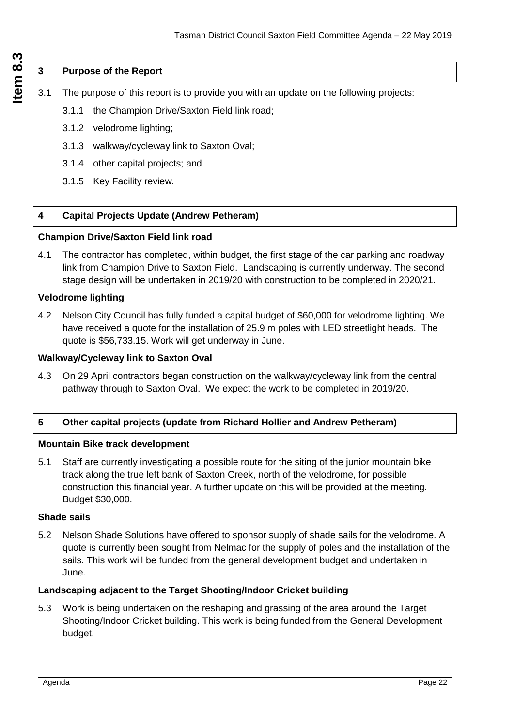#### **3 Purpose of the Report**

- 3.1 The purpose of this report is to provide you with an update on the following projects:
	- 3.1.1 the Champion Drive/Saxton Field link road;
	- 3.1.2 velodrome lighting;
	- 3.1.3 walkway/cycleway link to Saxton Oval;
	- 3.1.4 other capital projects; and
	- 3.1.5 Key Facility review.

#### **4 Capital Projects Update (Andrew Petheram)**

#### **Champion Drive/Saxton Field link road**

4.1 The contractor has completed, within budget, the first stage of the car parking and roadway link from Champion Drive to Saxton Field. Landscaping is currently underway. The second stage design will be undertaken in 2019/20 with construction to be completed in 2020/21.

#### **Velodrome lighting**

4.2 Nelson City Council has fully funded a capital budget of \$60,000 for velodrome lighting. We have received a quote for the installation of 25.9 m poles with LED streetlight heads. The quote is \$56,733.15. Work will get underway in June.

#### **Walkway/Cycleway link to Saxton Oval**

4.3 On 29 April contractors began construction on the walkway/cycleway link from the central pathway through to Saxton Oval. We expect the work to be completed in 2019/20.

#### **5 Other capital projects (update from Richard Hollier and Andrew Petheram)**

#### **Mountain Bike track development**

5.1 Staff are currently investigating a possible route for the siting of the junior mountain bike track along the true left bank of Saxton Creek, north of the velodrome, for possible construction this financial year. A further update on this will be provided at the meeting. Budget \$30,000.

#### **Shade sails**

5.2 Nelson Shade Solutions have offered to sponsor supply of shade sails for the velodrome. A quote is currently been sought from Nelmac for the supply of poles and the installation of the sails. This work will be funded from the general development budget and undertaken in June.

#### **Landscaping adjacent to the Target Shooting/Indoor Cricket building**

5.3 Work is being undertaken on the reshaping and grassing of the area around the Target Shooting/Indoor Cricket building. This work is being funded from the General Development budget.